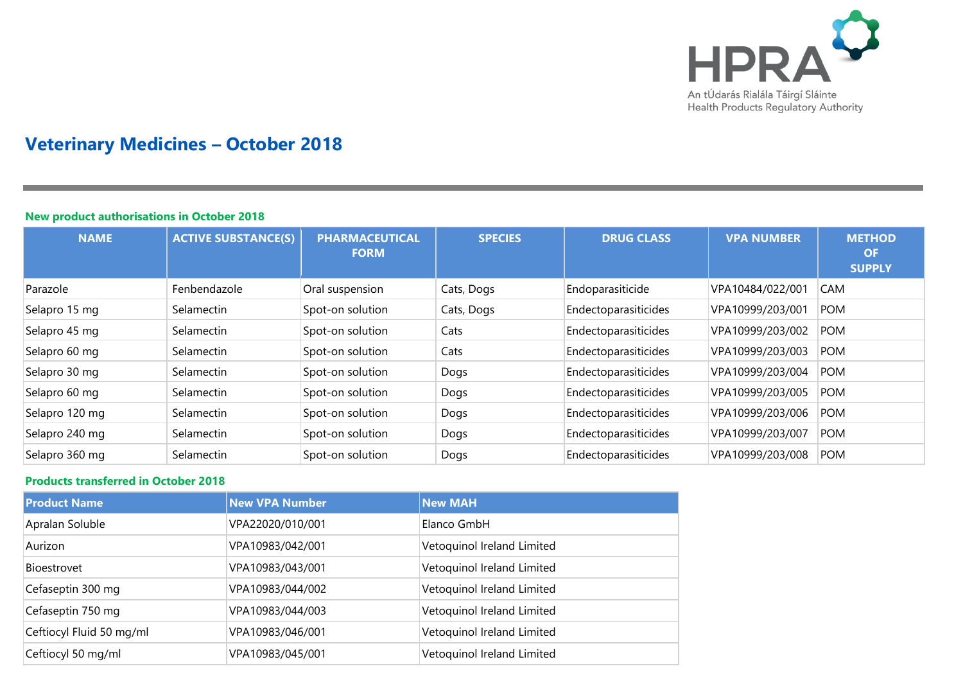

# **Veterinary Medicines – October 2018**

### **New product authorisations in October 2018**

| <b>NAME</b>    | <b>ACTIVE SUBSTANCE(S)</b> | <b>PHARMACEUTICAL</b><br><b>FORM</b> | <b>SPECIES</b> | <b>DRUG CLASS</b>    | <b>VPA NUMBER</b> | <b>METHOD</b><br><b>OF</b><br><b>SUPPLY</b> |
|----------------|----------------------------|--------------------------------------|----------------|----------------------|-------------------|---------------------------------------------|
| Parazole       | Fenbendazole               | Oral suspension                      | Cats, Dogs     | Endoparasiticide     | VPA10484/022/001  | <b>CAM</b>                                  |
| Selapro 15 mg  | Selamectin                 | Spot-on solution                     | Cats, Dogs     | Endectoparasiticides | VPA10999/203/001  | <b>POM</b>                                  |
| Selapro 45 mg  | Selamectin                 | Spot-on solution                     | Cats           | Endectoparasiticides | VPA10999/203/002  | <b>POM</b>                                  |
| Selapro 60 mg  | Selamectin                 | Spot-on solution                     | Cats           | Endectoparasiticides | VPA10999/203/003  | <b>POM</b>                                  |
| Selapro 30 mg  | Selamectin                 | Spot-on solution                     | Dogs           | Endectoparasiticides | VPA10999/203/004  | <b>POM</b>                                  |
| Selapro 60 mg  | Selamectin                 | Spot-on solution                     | Dogs           | Endectoparasiticides | VPA10999/203/005  | <b>POM</b>                                  |
| Selapro 120 mg | Selamectin                 | Spot-on solution                     | Dogs           | Endectoparasiticides | VPA10999/203/006  | <b>POM</b>                                  |
| Selapro 240 mg | Selamectin                 | Spot-on solution                     | Dogs           | Endectoparasiticides | VPA10999/203/007  | <b>POM</b>                                  |
| Selapro 360 mg | Selamectin                 | Spot-on solution                     | Dogs           | Endectoparasiticides | VPA10999/203/008  | <b>POM</b>                                  |

## **Products transferred in October 2018**

| <b>Product Name</b>      | <b>New VPA Number</b> | <b>New MAH</b>             |
|--------------------------|-----------------------|----------------------------|
| Apralan Soluble          | VPA22020/010/001      | Elanco GmbH                |
| Aurizon                  | VPA10983/042/001      | Vetoquinol Ireland Limited |
| Bioestrovet              | VPA10983/043/001      | Vetoquinol Ireland Limited |
| Cefaseptin 300 mg        | VPA10983/044/002      | Vetoquinol Ireland Limited |
| Cefaseptin 750 mg        | VPA10983/044/003      | Vetoquinol Ireland Limited |
| Ceftiocyl Fluid 50 mg/ml | VPA10983/046/001      | Vetoquinol Ireland Limited |
| Ceftiocyl 50 mg/ml       | VPA10983/045/001      | Vetoquinol Ireland Limited |